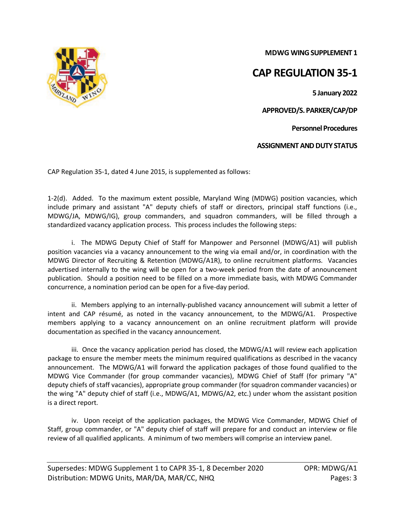**MDWG WING SUPPLEMENT 1**

## **CAP REGULATION 35-1**

**5 January 2022**

**APPROVED/S. PARKER/CAP/DP**

**Personnel Procedures**

**ASSIGNMENT AND DUTY STATUS**

CAP Regulation 35-1, dated 4 June 2015, is supplemented as follows:

1-2(d). Added.To the maximum extent possible, Maryland Wing (MDWG) position vacancies, which include primary and assistant "A" deputy chiefs of staff or directors, principal staff functions (i.e., MDWG/JA, MDWG/IG), group commanders, and squadron commanders, will be filled through a standardized vacancy application process. This process includes the following steps:

i. The MDWG Deputy Chief of Staff for Manpower and Personnel (MDWG/A1) will publish position vacancies via a vacancy announcement to the wing via email and/or, in coordination with the MDWG Director of Recruiting & Retention (MDWG/A1R), to online recruitment platforms. Vacancies advertised internally to the wing will be open for a two-week period from the date of announcement publication. Should a position need to be filled on a more immediate basis, with MDWG Commander concurrence, a nomination period can be open for a five-day period.

ii. Members applying to an internally-published vacancy announcement will submit a letter of intent and CAP résumé, as noted in the vacancy announcement, to the MDWG/A1. Prospective members applying to a vacancy announcement on an online recruitment platform will provide documentation as specified in the vacancy announcement.

iii. Once the vacancy application period has closed, the MDWG/A1 will review each application package to ensure the member meets the minimum required qualifications as described in the vacancy announcement. The MDWG/A1 will forward the application packages of those found qualified to the MDWG Vice Commander (for group commander vacancies), MDWG Chief of Staff (for primary "A" deputy chiefs of staff vacancies), appropriate group commander (for squadron commander vacancies) or the wing "A" deputy chief of staff (i.e., MDWG/A1, MDWG/A2, etc.) under whom the assistant position is a direct report.

iv. Upon receipt of the application packages, the MDWG Vice Commander, MDWG Chief of Staff, group commander, or "A" deputy chief of staff will prepare for and conduct an interview or file review of all qualified applicants. A minimum of two members will comprise an interview panel.

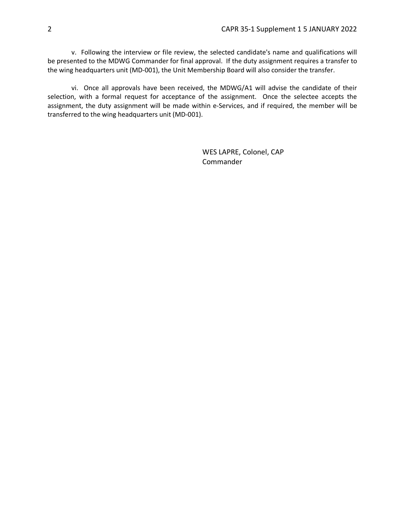v. Following the interview or file review, the selected candidate's name and qualifications will be presented to the MDWG Commander for final approval. If the duty assignment requires a transfer to the wing headquarters unit (MD-001), the Unit Membership Board will also consider the transfer.

vi. Once all approvals have been received, the MDWG/A1 will advise the candidate of their selection, with a formal request for acceptance of the assignment. Once the selectee accepts the assignment, the duty assignment will be made within e-Services, and if required, the member will be transferred to the wing headquarters unit (MD-001).

> WES LAPRE, Colonel, CAP Commander